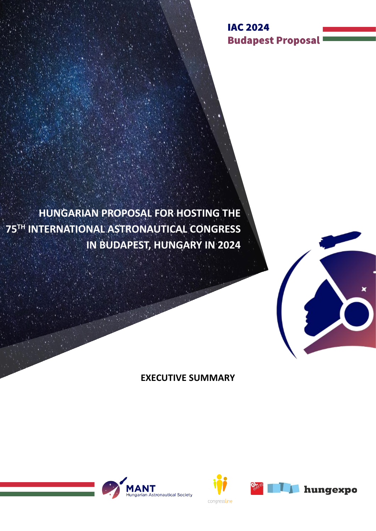**IAC 2024 Budapest Proposal** 

**HUNGARIAN PROPOSAL FOR HOSTING THE 75TH INTERNATIONAL ASTRONAUTICAL CONGRESS IN BUDAPEST, HUNGARY IN 2024**







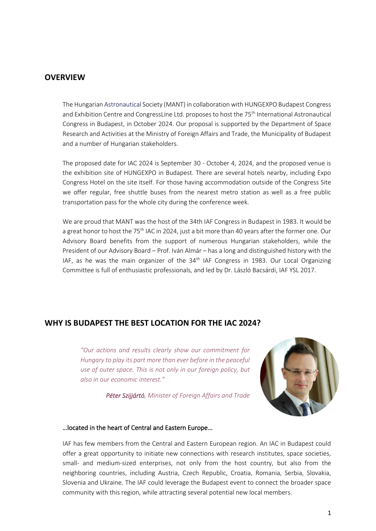## **OVERVIEW**

The Hungarian Astronautical Society (MANT) in collaboration with HUNGEXPO Budapest Congress and Exhibition Centre and CongressLine Ltd. proposes to host the 75<sup>th</sup> International Astronautical Congress in Budapest, in October 2024. Our proposal is supported by the Department of Space Research and Activities at the Ministry of Foreign Affairs and Trade, the Municipality of Budapest and a number of Hungarian stakeholders.

The proposed date for IAC 2024 is September 30 - October 4, 2024, and the proposed venue is the exhibition site of HUNGEXPO in Budapest. There are several hotels nearby, including Expo Congress Hotel on the site itself. For those having accommodation outside of the Congress Site we offer regular, free shuttle buses from the nearest metro station as well as a free public transportation pass for the whole city during the conference week.

We are proud that MANT was the host of the 34th IAF Congress in Budapest in 1983. It would be a great honor to host the 75<sup>th</sup> IAC in 2024, just a bit more than 40 years after the former one. Our Advisory Board benefits from the support of numerous Hungarian stakeholders, while the President of our Advisory Board – Prof. Iván Almár – has a long and distinguished history with the IAF, as he was the main organizer of the  $34<sup>th</sup>$  IAF Congress in 1983. Our Local Organizing Committee is full of enthusiastic professionals, and led by Dr. László Bacsárdi, IAF YSL 2017.

## **WHY IS BUDAPEST THE BEST LOCATION FOR THE IAC 2024?**

*"Our actions and results clearly show our commitment for Hungary to play its part more than ever before in the peaceful use of outer space. This is not only in our foreign policy, but also in our economic interest."*

*Péter Szijjártó, Minister of Foreign Affairs and Trade*



#### …located in the heart of Central and Eastern Europe…

IAF has few members from the Central and Eastern European region. An IAC in Budapest could offer a great opportunity to initiate new connections with research institutes, space societies, small- and medium-sized enterprises, not only from the host country, but also from the neighboring countries, including Austria, Czech Republic, Croatia, Romania, Serbia, Slovakia, Slovenia and Ukraine. The IAF could leverage the Budapest event to connect the broader space community with this region, while attracting several potential new local members.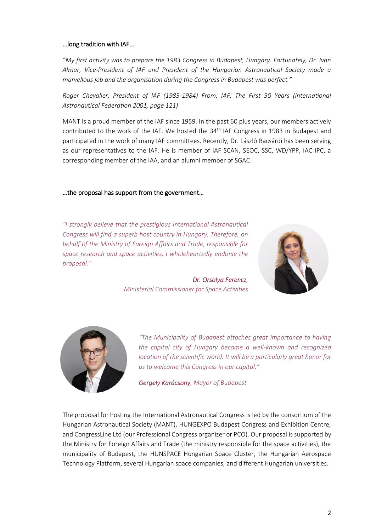## …long tradition with IAF…

*"My first activity was to prepare the 1983 Congress in Budapest, Hungary. Fortunately, Dr. Ivan Almar, Vice-President of IAF and President of the Hungarian Astronautical Society made a marvellous job and the organisation during the Congress in Budapest was perfect."*

*Roger Chevalier, President of IAF (1983-1984) From: IAF: The First 50 Years (International Astronautical Federation 2001, page 121)*

MANT is a proud member of the IAF since 1959. In the past 60 plus years, our members actively contributed to the work of the IAF. We hosted the 34<sup>th</sup> IAF Congress in 1983 in Budapest and participated in the work of many IAF committees. Recently, Dr. László Bacsárdi has been serving as our representatives to the IAF. He is member of IAF SCAN, SEOC, SSC, WD/YPP, IAC IPC, a corresponding member of the IAA, and an alumni member of SGAC.

## …the proposal has support from the government…

*"I strongly believe that the prestigious International Astronautical Congress will find a superb host country in Hungary. Therefore, on behalf of the Ministry of Foreign Affairs and Trade, responsible for space research and space activities, I wholeheartedly endorse the proposal."*



*Dr. Orsolya Ferencz, Ministerial Commissioner for Space Activities*



*"The Municipality of Budapest attaches great importance to having the capital city of Hungary become a well-known and recognized location of the scientific world. It will be a particularly great honor for us to welcome this Congress in our capital."*

*Gergely Karácsony, Mayor of Budapest* 

The proposal for hosting the International Astronautical Congress is led by the consortium of the Hungarian Astronautical Society (MANT), HUNGEXPO Budapest Congress and Exhibition Centre, and CongressLine Ltd (our Professional Congress organizer or PCO). Our proposal is supported by the Ministry for Foreign Affairs and Trade (the ministry responsible for the space activities), the municipality of Budapest, the HUNSPACE Hungarian Space Cluster, the Hungarian Aerospace Technology Platform, several Hungarian space companies, and different Hungarian universities.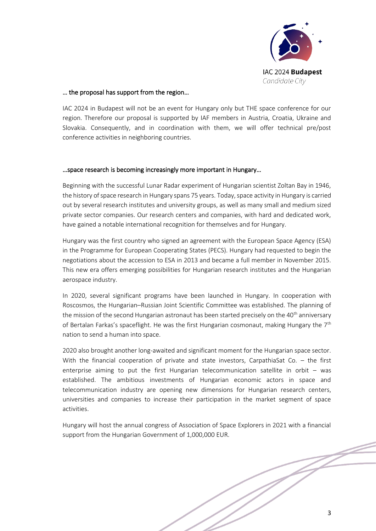

#### … the proposal has support from the region…

IAC 2024 in Budapest will not be an event for Hungary only but THE space conference for our region. Therefore our proposal is supported by IAF members in Austria, Croatia, Ukraine and Slovakia. Consequently, and in coordination with them, we will offer technical pre/post conference activities in neighboring countries.

#### …space research is becoming increasingly more important in Hungary…

Beginning with the successful Lunar Radar experiment of Hungarian scientist Zoltan Bay in 1946, the history of space research in Hungary spans 75 years. Today, space activity in Hungary is carried out by several research institutes and university groups, as well as many small and medium sized private sector companies. Our research centers and companies, with hard and dedicated work, have gained a notable international recognition for themselves and for Hungary.

Hungary was the first country who signed an agreement with the European Space Agency (ESA) in the Programme for European Cooperating States (PECS). Hungary had requested to begin the negotiations about the accession to ESA in 2013 and became a full member in November 2015. This new era offers emerging possibilities for Hungarian research institutes and the Hungarian aerospace industry.

In 2020, several significant programs have been launched in Hungary. In cooperation with Roscosmos, the Hungarian–Russian Joint Scientific Committee was established. The planning of the mission of the second Hungarian astronaut has been started precisely on the 40<sup>th</sup> anniversary of Bertalan Farkas's spaceflight. He was the first Hungarian cosmonaut, making Hungary the  $7<sup>th</sup>$ nation to send a human into space.

2020 also brought another long-awaited and significant moment for the Hungarian space sector. With the financial cooperation of private and state investors, CarpathiaSat Co. – the first enterprise aiming to put the first Hungarian telecommunication satellite in orbit  $-$  was established. The ambitious investments of Hungarian economic actors in space and telecommunication industry are opening new dimensions for Hungarian research centers, universities and companies to increase their participation in the market segment of space activities.

Hungary will host the annual congress of Association of Space Explorers in 2021 with a financial support from the Hungarian Government of 1,000,000 EUR.

 $\neq$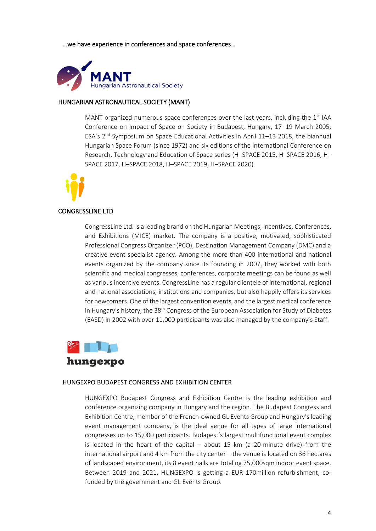…we have experience in conferences and space conferences…



## HUNGARIAN ASTRONAUTICAL SOCIETY (MANT)

MANT organized numerous space conferences over the last years, including the  $1<sup>st</sup>$  IAA Conference on Impact of Space on Society in Budapest, Hungary, 17–19 March 2005; ESA's 2<sup>nd</sup> Symposium on Space Educational Activities in April 11-13 2018, the biannual Hungarian Space Forum (since 1972) and six editions of the International Conference on Research, Technology and Education of Space series (H–SPACE 2015, H–SPACE 2016, H– SPACE 2017, H–SPACE 2018, H–SPACE 2019, H–SPACE 2020).



## CONGRESSLINE LTD

CongressLine Ltd. is a leading brand on the Hungarian Meetings, Incentives, Conferences, and Exhibitions (MICE) market. The company is a positive, motivated, sophisticated Professional Congress Organizer (PCO), Destination Management Company (DMC) and a creative event specialist agency. Among the more than 400 international and national events organized by the company since its founding in 2007, they worked with both scientific and medical congresses, conferences, corporate meetings can be found as well as various incentive events. CongressLine has a regular clientele of international, regional and national associations, institutions and companies, but also happily offers its services for newcomers. One of the largest convention events, and the largest medical conference in Hungary's history, the  $38<sup>th</sup>$  Congress of the European Association for Study of Diabetes (EASD) in 2002 with over 11,000 participants was also managed by the company's Staff.



#### HUNGEXPO BUDAPEST CONGRESS AND EXHIBITION CENTER

HUNGEXPO Budapest Congress and Exhibition Centre is the leading exhibition and conference organizing company in Hungary and the region. The Budapest Congress and Exhibition Centre, member of the French-owned GL Events Group and Hungary's leading event management company, is the ideal venue for all types of large international congresses up to 15,000 participants. Budapest's largest multifunctional event complex is located in the heart of the capital – about 15 km (a 20-minute drive) from the international airport and 4 km from the city center – the venue is located on 36 hectares of landscaped environment, its 8 event halls are totaling 75,000sqm indoor event space. Between 2019 and 2021, HUNGEXPO is getting a EUR 170million refurbishment, cofunded by the government and GL Events Group.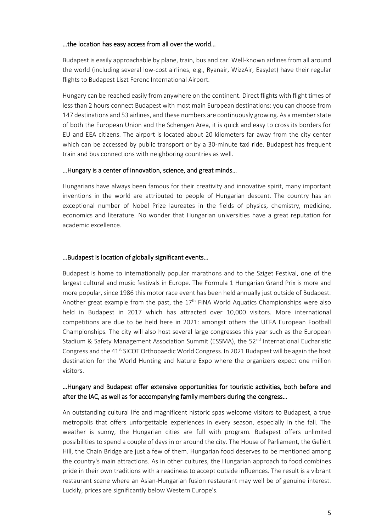#### …the location has easy access from all over the world…

Budapest is easily approachable by plane, train, bus and car. Well-known airlines from all around the world (including several low-cost airlines, e.g., Ryanair, WizzAir, EasyJet) have their regular flights to Budapest Liszt Ferenc International Airport.

Hungary can be reached easily from anywhere on the continent. Direct flights with flight times of less than 2 hours connect Budapest with most main European destinations: you can choose from 147 destinations and 53 airlines, and these numbers are continuously growing. As a member state of both the European Union and the Schengen Area, it is quick and easy to cross its borders for EU and EEA citizens. The airport is located about 20 kilometers far away from the city center which can be accessed by public transport or by a 30-minute taxi ride. Budapest has frequent train and bus connections with neighboring countries as well.

## …Hungary is a center of innovation, science, and great minds…

Hungarians have always been famous for their creativity and innovative spirit, many important inventions in the world are attributed to people of Hungarian descent. The country has an exceptional number of Nobel Prize laureates in the fields of physics, chemistry, medicine, economics and literature. No wonder that Hungarian universities have a great reputation for academic excellence.

## …Budapest is location of globally significant events…

Budapest is home to internationally popular marathons and to the Sziget Festival, one of the largest cultural and music festivals in Europe. The Formula 1 Hungarian Grand Prix is more and more popular, since 1986 this motor race event has been held annually just outside of Budapest. Another great example from the past, the  $17<sup>th</sup>$  FINA World Aquatics Championships were also held in Budapest in 2017 which has attracted over 10,000 visitors. More international competitions are due to be held here in 2021: amongst others the UEFA European Football Championships. The city will also host several large congresses this year such as the European Stadium & Safety Management Association Summit (ESSMA), the 52<sup>nd</sup> International Eucharistic Congress and the 41<sup>st</sup> SICOT Orthopaedic World Congress. In 2021 Budapest will be again the host destination for the World Hunting and Nature Expo where the organizers expect one million visitors.

## …Hungary and Budapest offer extensive opportunities for touristic activities, both before and after the IAC, as well as for accompanying family members during the congress…

An outstanding cultural life and magnificent historic spas welcome visitors to Budapest, a true metropolis that offers unforgettable experiences in every season, especially in the fall. The weather is sunny, the Hungarian cities are full with program. Budapest offers unlimited possibilities to spend a couple of days in or around the city. The House of Parliament, the Gellért Hill, the Chain Bridge are just a few of them. Hungarian food deserves to be mentioned among the country's main attractions. As in other cultures, the Hungarian approach to food combines pride in their own traditions with a readiness to accept outside influences. The result is a vibrant restaurant scene where an Asian-Hungarian fusion restaurant may well be of genuine interest. Luckily, prices are significantly below Western Europe's.